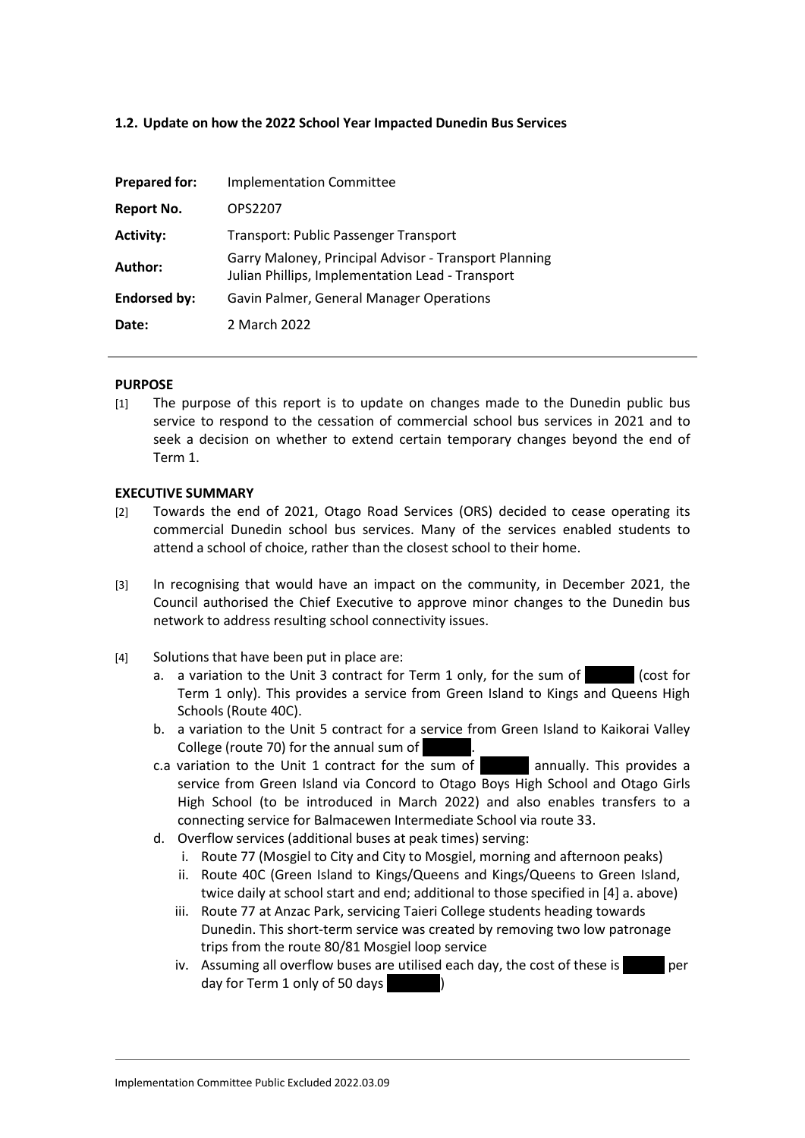# **1.2. Update on how the 2022 School Year Impacted Dunedin Bus Services**

| <b>Prepared for:</b> | <b>Implementation Committee</b>                                                                           |
|----------------------|-----------------------------------------------------------------------------------------------------------|
| <b>Report No.</b>    | OPS2207                                                                                                   |
| <b>Activity:</b>     | <b>Transport: Public Passenger Transport</b>                                                              |
| Author:              | Garry Maloney, Principal Advisor - Transport Planning<br>Julian Phillips, Implementation Lead - Transport |
| <b>Endorsed by:</b>  | Gavin Palmer, General Manager Operations                                                                  |
| Date:                | 2 March 2022                                                                                              |

#### **PURPOSE**

[1] The purpose of this report is to update on changes made to the Dunedin public bus service to respond to the cessation of commercial school bus services in 2021 and to seek a decision on whether to extend certain temporary changes beyond the end of Term 1.

#### **EXECUTIVE SUMMARY**

- [2] Towards the end of 2021, Otago Road Services (ORS) decided to cease operating its commercial Dunedin school bus services. Many of the services enabled students to attend a school of choice, rather than the closest school to their home.
- [3] In recognising that would have an impact on the community, in December 2021, the Council authorised the Chief Executive to approve minor changes to the Dunedin bus network to address resulting school connectivity issues.
- <span id="page-0-1"></span><span id="page-0-0"></span>[4] Solutions that have been put in place are:
	- a. a variation to the Unit 3 contract for Term 1 only, for the sum of  $\sim$  (cost for Term 1 only). This provides a service from Green Island to Kings and Queens High Schools (Route 40C).
	- b. a variation to the Unit 5 contract for a service from Green Island to Kaikorai Valley College (route 70) for the annual sum of
	- c.a variation to the Unit 1 contract for the sum of **Example 2** annually. This provides a service from Green Island via Concord to Otago Boys High School and Otago Girls High School (to be introduced in March 2022) and also enables transfers to a connecting service for Balmacewen Intermediate School via route 33.
	- d. Overflow services (additional buses at peak times) serving:
		- i. Route 77 (Mosgiel to City and City to Mosgiel, morning and afternoon peaks)
		- ii. Route 40C (Green Island to Kings/Queens and Kings/Queens to Green Island, twice daily at school start and end; additional to those specified in [\[4\]](#page-0-0) [a.](#page-0-1) above)
		- iii. Route 77 at Anzac Park, servicing Taieri College students heading towards Dunedin. This short-term service was created by removing two low patronage trips from the route 80/81 Mosgiel loop service
		- iv. Assuming all overflow buses are utilised each day, the cost of these is  $1,200$  per day for Term 1 only of 50 days (1)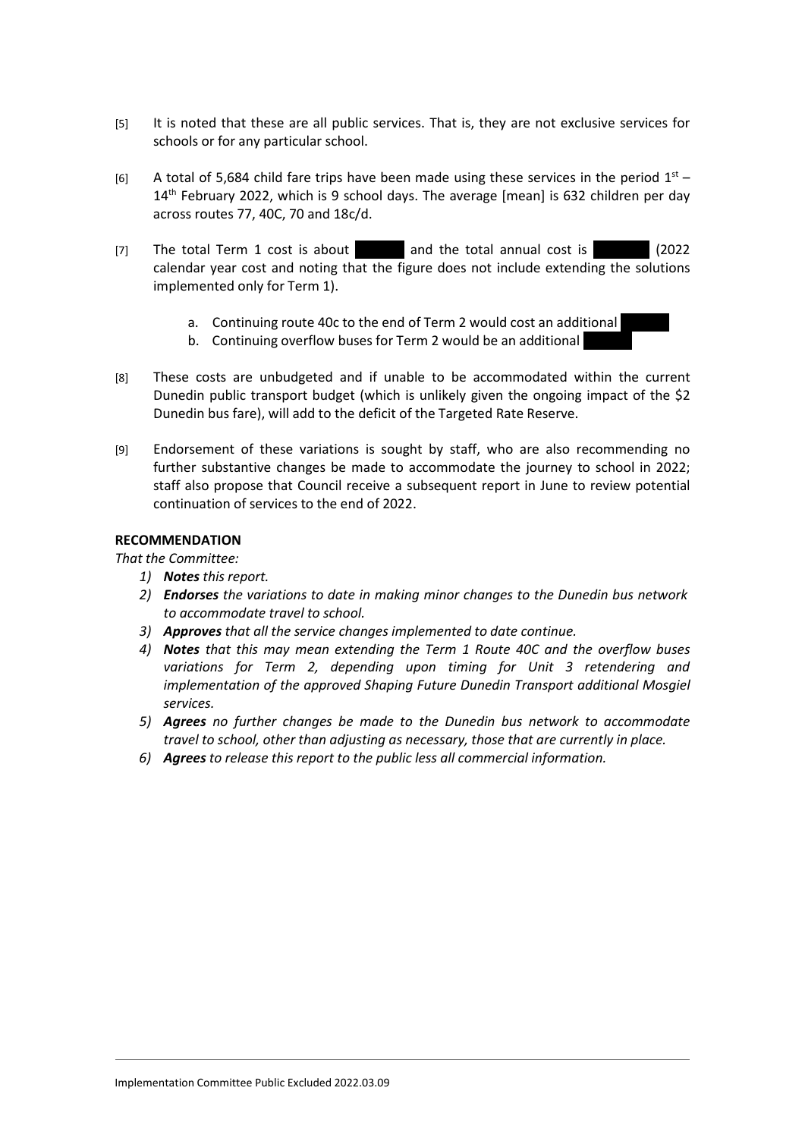- [5] It is noted that these are all public services. That is, they are not exclusive services for schools or for any particular school.
- [6] A total of 5,684 child fare trips have been made using these services in the period  $1<sup>st</sup>$  14<sup>th</sup> February 2022, which is 9 school days. The average [mean] is 632 children per day across routes 77, 40C, 70 and 18c/d.
- [7] The total Term 1 cost is about  $\qquad$  and the total annual cost is  $(2022)$ calendar year cost and noting that the figure does not include extending the solutions implemented only for Term 1).
	- a. Continuing route 40c to the end of Term 2 would cost an additional
	- b. Continuing overflow buses for Term 2 would be an additional
- [8] These costs are unbudgeted and if unable to be accommodated within the current Dunedin public transport budget (which is unlikely given the ongoing impact of the \$2 Dunedin bus fare), will add to the deficit of the Targeted Rate Reserve.
- [9] Endorsement of these variations is sought by staff, who are also recommending no further substantive changes be made to accommodate the journey to school in 2022; staff also propose that Council receive a subsequent report in June to review potential continuation of services to the end of 2022.

# **RECOMMENDATION**

*That the Committee:*

- *1) Notes this report.*
- *2) Endorses the variations to date in making minor changes to the Dunedin bus network to accommodate travel to school.*
- *3) Approves that all the service changes implemented to date continue.*
- *4) Notes that this may mean extending the Term 1 Route 40C and the overflow buses variations for Term 2, depending upon timing for Unit 3 retendering and implementation of the approved Shaping Future Dunedin Transport additional Mosgiel services.*
- *5) Agrees no further changes be made to the Dunedin bus network to accommodate travel to school, other than adjusting as necessary, those that are currently in place.*
- *6) Agrees to release this report to the public less all commercial information.*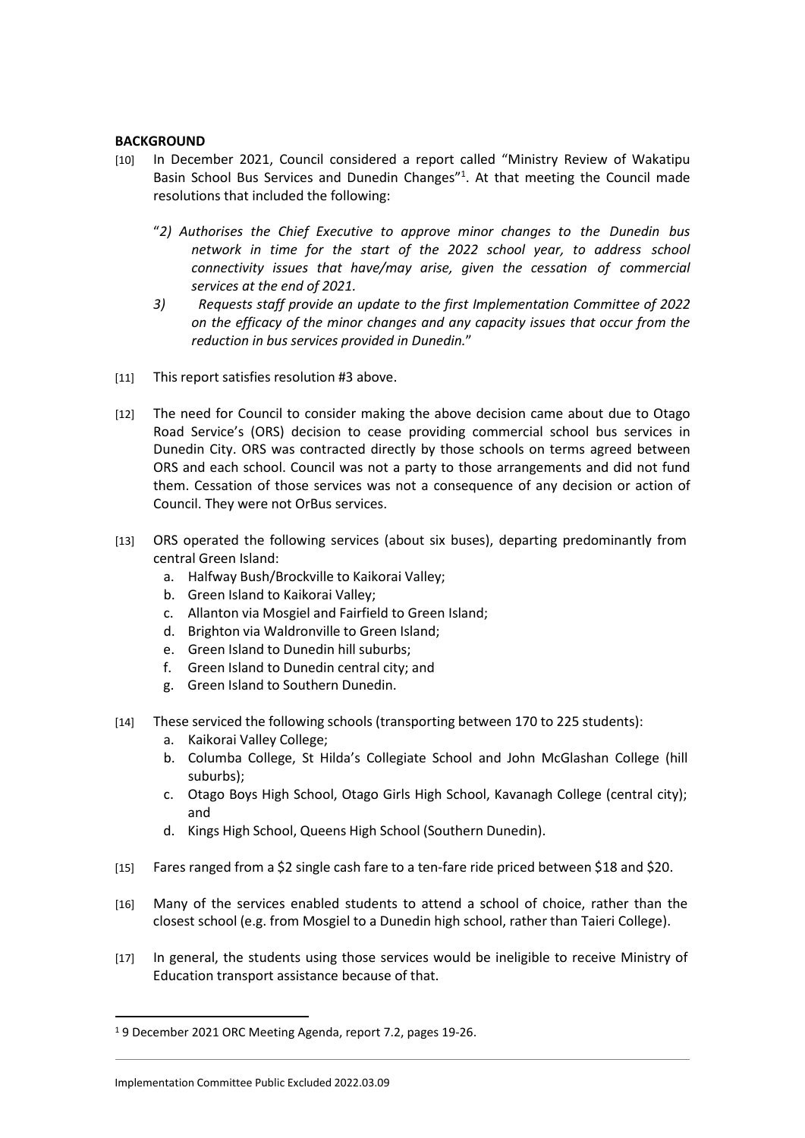### **BACKGROUND**

- [10] In December 2021, Council considered a report called "Ministry Review of Wakatipu Basin School Bus Services and Dunedin Changes"<sup>1</sup>. At that meeting the Council made resolutions that included the following:
	- "*2) Authorises the Chief Executive to approve minor changes to the Dunedin bus network in time for the start of the 2022 school year, to address school connectivity issues that have/may arise, given the cessation of commercial services at the end of 2021.*
	- *3) Requests staff provide an update to the first Implementation Committee of 2022 on the efficacy of the minor changes and any capacity issues that occur from the reduction in bus services provided in Dunedin.*"
- [11] This report satisfies resolution #3 above.
- [12] The need for Council to consider making the above decision came about due to Otago Road Service's (ORS) decision to cease providing commercial school bus services in Dunedin City. ORS was contracted directly by those schools on terms agreed between ORS and each school. Council was not a party to those arrangements and did not fund them. Cessation of those services was not a consequence of any decision or action of Council. They were not OrBus services.
- [13] ORS operated the following services (about six buses), departing predominantly from central Green Island:
	- a. Halfway Bush/Brockville to Kaikorai Valley;
	- b. Green Island to Kaikorai Valley;
	- c. Allanton via Mosgiel and Fairfield to Green Island;
	- d. Brighton via Waldronville to Green Island;
	- e. Green Island to Dunedin hill suburbs;
	- f. Green Island to Dunedin central city; and
	- g. Green Island to Southern Dunedin.
- [14] These serviced the following schools (transporting between 170 to 225 students):
	- a. Kaikorai Valley College;
	- b. Columba College, St Hilda's Collegiate School and John McGlashan College (hill suburbs);
	- c. Otago Boys High School, Otago Girls High School, Kavanagh College (central city); and
	- d. Kings High School, Queens High School (Southern Dunedin).
- [15] Fares ranged from a \$2 single cash fare to a ten-fare ride priced between \$18 and \$20.
- [16] Many of the services enabled students to attend a school of choice, rather than the closest school (e.g. from Mosgiel to a Dunedin high school, rather than Taieri College).
- [17] In general, the students using those services would be ineligible to receive Ministry of Education transport assistance because of that.

<sup>1</sup> 9 December 2021 ORC Meeting Agenda, report 7.2, pages 19-26.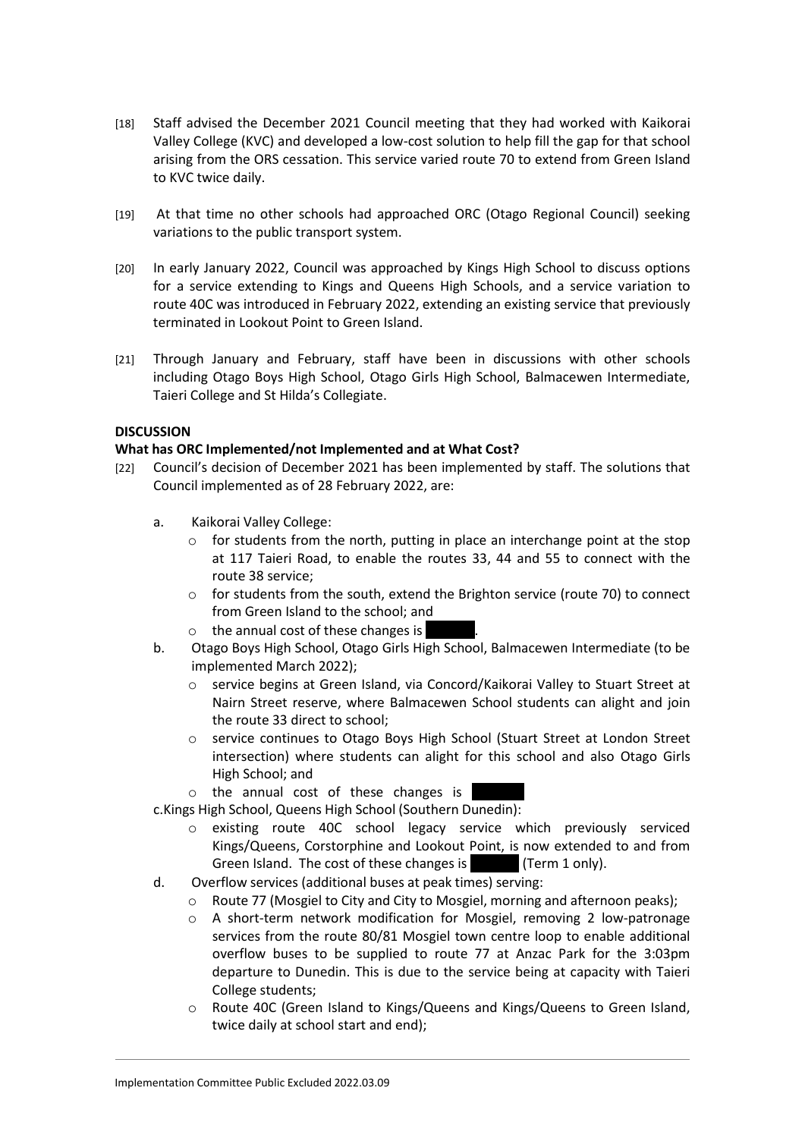- [18] Staff advised the December 2021 Council meeting that they had worked with Kaikorai Valley College (KVC) and developed a low-cost solution to help fill the gap for that school arising from the ORS cessation. This service varied route 70 to extend from Green Island to KVC twice daily.
- [19] At that time no other schools had approached ORC (Otago Regional Council) seeking variations to the public transport system.
- [20] In early January 2022, Council was approached by Kings High School to discuss options for a service extending to Kings and Queens High Schools, and a service variation to route 40C was introduced in February 2022, extending an existing service that previously terminated in Lookout Point to Green Island.
- [21] Through January and February, staff have been in discussions with other schools including Otago Boys High School, Otago Girls High School, Balmacewen Intermediate, Taieri College and St Hilda's Collegiate.

# **DISCUSSION**

# **What has ORC Implemented/not Implemented and at What Cost?**

- [22] Council's decision of December 2021 has been implemented by staff. The solutions that Council implemented as of 28 February 2022, are:
	- a. Kaikorai Valley College:
		- $\circ$  for students from the north, putting in place an interchange point at the stop at 117 Taieri Road, to enable the routes 33, 44 and 55 to connect with the route 38 service;
		- o for students from the south, extend the Brighton service (route 70) to connect from Green Island to the school; and
		- $\circ$  the annual cost of these changes is
	- b. Otago Boys High School, Otago Girls High School, Balmacewen Intermediate (to be implemented March 2022);
		- o service begins at Green Island, via Concord/Kaikorai Valley to Stuart Street at Nairn Street reserve, where Balmacewen School students can alight and join the route 33 direct to school;
		- o service continues to Otago Boys High School (Stuart Street at London Street intersection) where students can alight for this school and also Otago Girls High School; and
		- $\circ$  the annual cost of these changes is
	- c.Kings High School, Queens High School (Southern Dunedin):
		- o existing route 40C school legacy service which previously serviced Kings/Queens, Corstorphine and Lookout Point, is now extended to and from Green Island. The cost of these changes is (Term 1 only).
	- d. Overflow services (additional buses at peak times) serving:
		- o Route 77 (Mosgiel to City and City to Mosgiel, morning and afternoon peaks);
		- o A short-term network modification for Mosgiel, removing 2 low-patronage services from the route 80/81 Mosgiel town centre loop to enable additional overflow buses to be supplied to route 77 at Anzac Park for the 3:03pm departure to Dunedin. This is due to the service being at capacity with Taieri College students;
		- o Route 40C (Green Island to Kings/Queens and Kings/Queens to Green Island, twice daily at school start and end);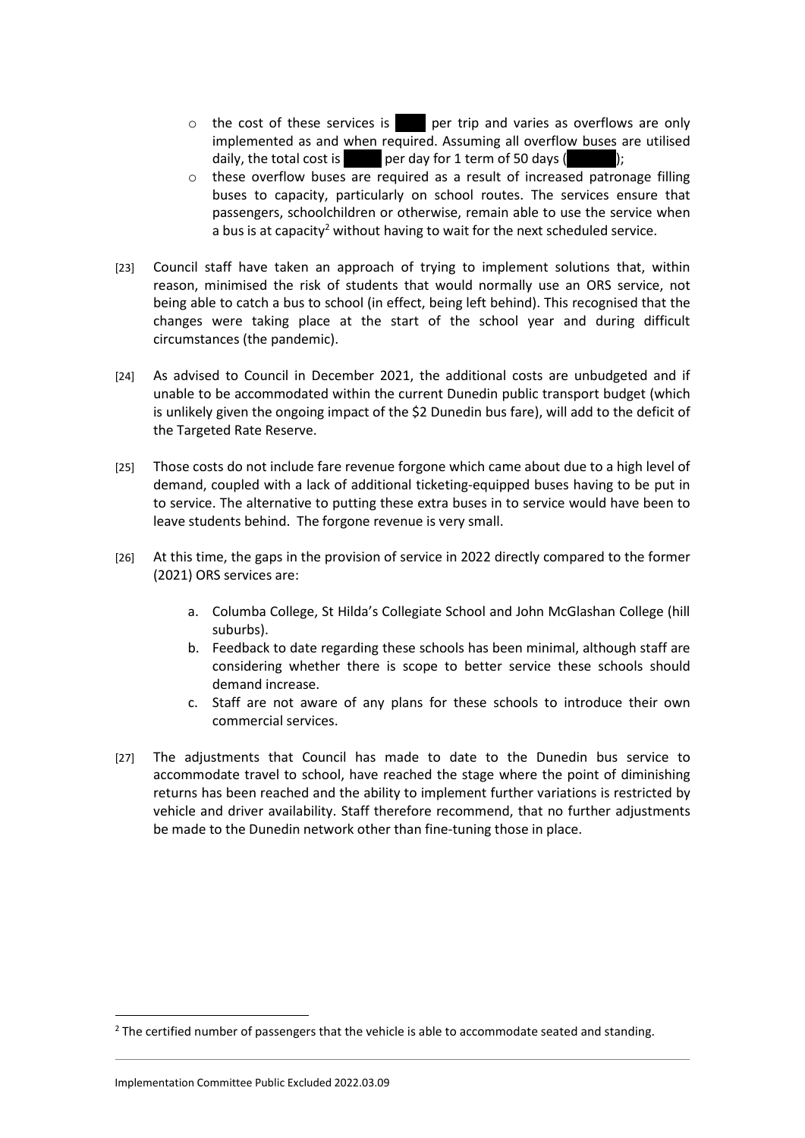- $\circ$  the cost of these services is  $\bullet$  per trip and varies as overflows are only implemented as and when required. Assuming all overflow buses are utilised daily, the total cost is  $1200$  per day for 1 term of 50 days ( $160$ );
- o these overflow buses are required as a result of increased patronage filling buses to capacity, particularly on school routes. The services ensure that passengers, schoolchildren or otherwise, remain able to use the service when a bus is at capacity<sup>2</sup> without having to wait for the next scheduled service.
- [23] Council staff have taken an approach of trying to implement solutions that, within reason, minimised the risk of students that would normally use an ORS service, not being able to catch a bus to school (in effect, being left behind). This recognised that the changes were taking place at the start of the school year and during difficult circumstances (the pandemic).
- [24] As advised to Council in December 2021, the additional costs are unbudgeted and if unable to be accommodated within the current Dunedin public transport budget (which is unlikely given the ongoing impact of the \$2 Dunedin bus fare), will add to the deficit of the Targeted Rate Reserve.
- [25] Those costs do not include fare revenue forgone which came about due to a high level of demand, coupled with a lack of additional ticketing-equipped buses having to be put in to service. The alternative to putting these extra buses in to service would have been to leave students behind. The forgone revenue is very small.
- [26] At this time, the gaps in the provision of service in 2022 directly compared to the former (2021) ORS services are:
	- a. Columba College, St Hilda's Collegiate School and John McGlashan College (hill suburbs).
	- b. Feedback to date regarding these schools has been minimal, although staff are considering whether there is scope to better service these schools should demand increase.
	- c. Staff are not aware of any plans for these schools to introduce their own commercial services.
- [27] The adjustments that Council has made to date to the Dunedin bus service to accommodate travel to school, have reached the stage where the point of diminishing returns has been reached and the ability to implement further variations is restricted by vehicle and driver availability. Staff therefore recommend, that no further adjustments be made to the Dunedin network other than fine-tuning those in place.

 $<sup>2</sup>$  The certified number of passengers that the vehicle is able to accommodate seated and standing.</sup>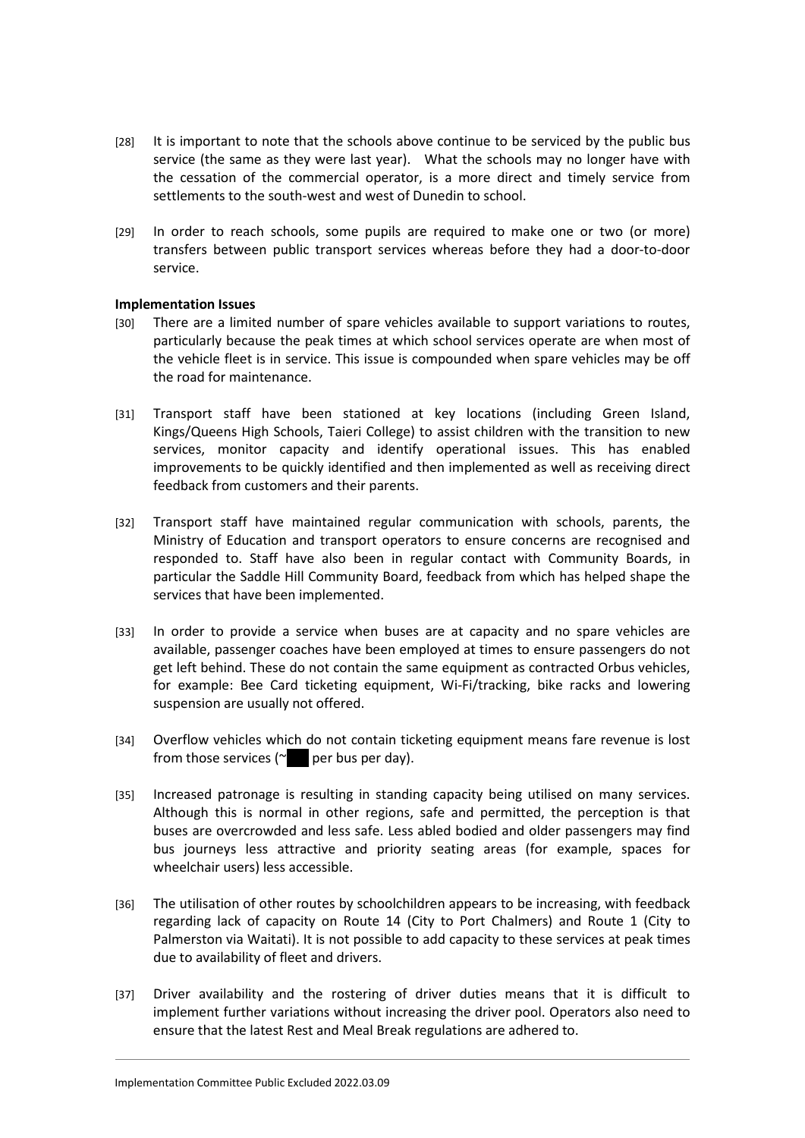- [28] It is important to note that the schools above continue to be serviced by the public bus service (the same as they were last year). What the schools may no longer have with the cessation of the commercial operator, is a more direct and timely service from settlements to the south-west and west of Dunedin to school.
- [29] In order to reach schools, some pupils are required to make one or two (or more) transfers between public transport services whereas before they had a door-to-door service.

### **Implementation Issues**

- [30] There are a limited number of spare vehicles available to support variations to routes, particularly because the peak times at which school services operate are when most of the vehicle fleet is in service. This issue is compounded when spare vehicles may be off the road for maintenance.
- [31] Transport staff have been stationed at key locations (including Green Island, Kings/Queens High Schools, Taieri College) to assist children with the transition to new services, monitor capacity and identify operational issues. This has enabled improvements to be quickly identified and then implemented as well as receiving direct feedback from customers and their parents.
- [32] Transport staff have maintained regular communication with schools, parents, the Ministry of Education and transport operators to ensure concerns are recognised and responded to. Staff have also been in regular contact with Community Boards, in particular the Saddle Hill Community Board, feedback from which has helped shape the services that have been implemented.
- [33] In order to provide a service when buses are at capacity and no spare vehicles are available, passenger coaches have been employed at times to ensure passengers do not get left behind. These do not contain the same equipment as contracted Orbus vehicles, for example: Bee Card ticketing equipment, Wi-Fi/tracking, bike racks and lowering suspension are usually not offered.
- [34] Overflow vehicles which do not contain ticketing equipment means fare revenue is lost from those services ( $\sim$  per bus per day).
- [35] Increased patronage is resulting in standing capacity being utilised on many services. Although this is normal in other regions, safe and permitted, the perception is that buses are overcrowded and less safe. Less abled bodied and older passengers may find bus journeys less attractive and priority seating areas (for example, spaces for wheelchair users) less accessible.
- [36] The utilisation of other routes by schoolchildren appears to be increasing, with feedback regarding lack of capacity on Route 14 (City to Port Chalmers) and Route 1 (City to Palmerston via Waitati). It is not possible to add capacity to these services at peak times due to availability of fleet and drivers.
- [37] Driver availability and the rostering of driver duties means that it is difficult to implement further variations without increasing the driver pool. Operators also need to ensure that the latest Rest and Meal Break regulations are adhered to.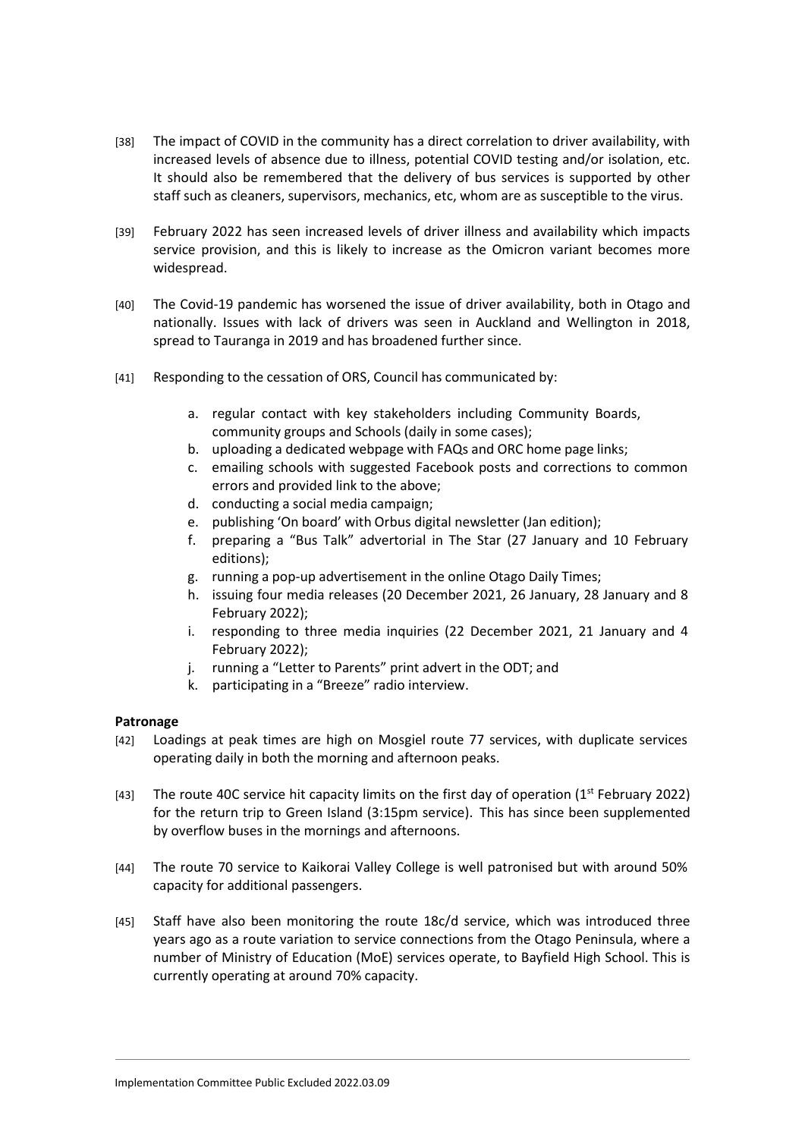- [38] The impact of COVID in the community has a direct correlation to driver availability, with increased levels of absence due to illness, potential COVID testing and/or isolation, etc. It should also be remembered that the delivery of bus services is supported by other staff such as cleaners, supervisors, mechanics, etc, whom are as susceptible to the virus.
- [39] February 2022 has seen increased levels of driver illness and availability which impacts service provision, and this is likely to increase as the Omicron variant becomes more widespread.
- [40] The Covid-19 pandemic has worsened the issue of driver availability, both in Otago and nationally. Issues with lack of drivers was seen in Auckland and Wellington in 2018, spread to Tauranga in 2019 and has broadened further since.
- [41] Responding to the cessation of ORS, Council has communicated by:
	- a. regular contact with key stakeholders including Community Boards, community groups and Schools (daily in some cases);
	- b. uploading a dedicated webpage with FAQs and ORC home page links;
	- c. emailing schools with suggested Facebook posts and corrections to common errors and provided link to the above;
	- d. conducting a social media campaign;
	- e. publishing 'On board' with Orbus digital newsletter (Jan edition);
	- f. preparing a "Bus Talk" advertorial in The Star (27 January and 10 February editions);
	- g. running a pop-up advertisement in the online Otago Daily Times;
	- h. issuing four media releases (20 December 2021, 26 January, 28 January and 8 February 2022);
	- i. responding to three media inquiries (22 December 2021, 21 January and 4 February 2022);
	- j. running a "Letter to Parents" print advert in the ODT; and
	- k. participating in a "Breeze" radio interview.

### **Patronage**

- [42] Loadings at peak times are high on Mosgiel route 77 services, with duplicate services operating daily in both the morning and afternoon peaks.
- [43] The route 40C service hit capacity limits on the first day of operation (1<sup>st</sup> February 2022) for the return trip to Green Island (3:15pm service). This has since been supplemented by overflow buses in the mornings and afternoons.
- [44] The route 70 service to Kaikorai Valley College is well patronised but with around 50% capacity for additional passengers.
- [45] Staff have also been monitoring the route 18c/d service, which was introduced three years ago as a route variation to service connections from the Otago Peninsula, where a number of Ministry of Education (MoE) services operate, to Bayfield High School. This is currently operating at around 70% capacity.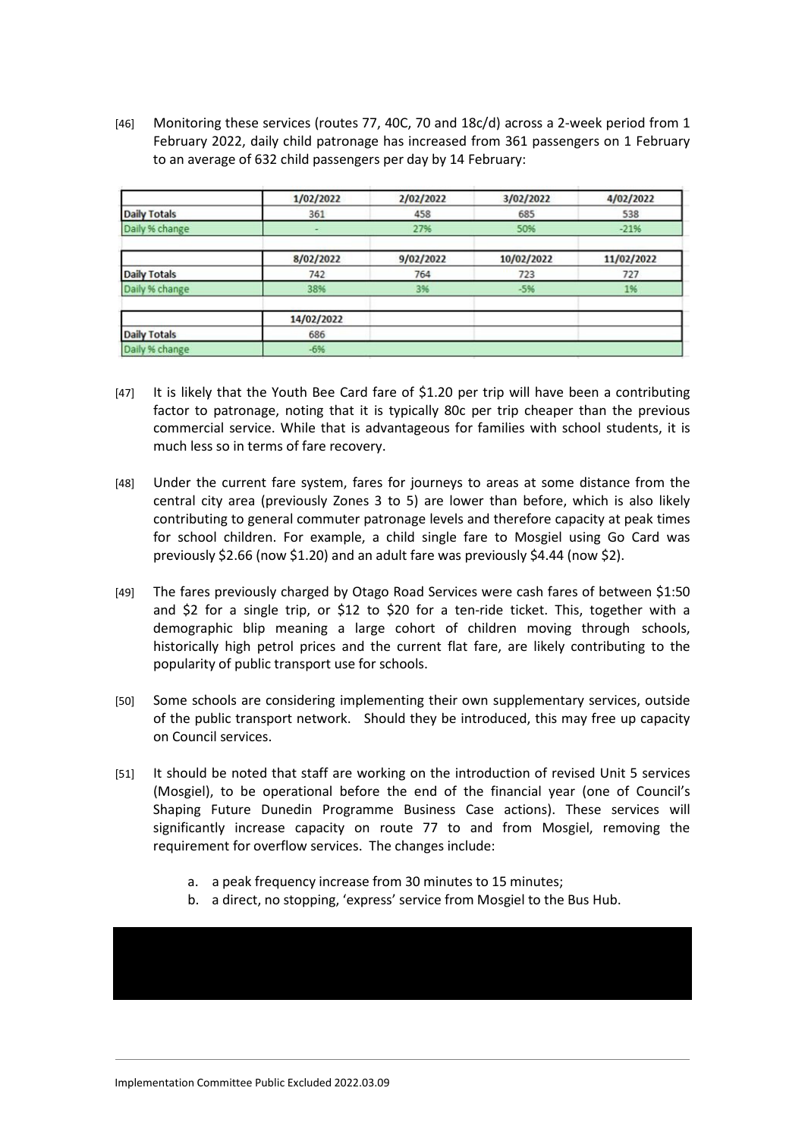[46] Monitoring these services (routes 77, 40C, 70 and 18c/d) across a 2-week period from 1 February 2022, daily child patronage has increased from 361 passengers on 1 February to an average of 632 child passengers per day by 14 February:

|                     | 1/02/2022  | 2/02/2022 | 3/02/2022  | 4/02/2022  |
|---------------------|------------|-----------|------------|------------|
| <b>Daily Totals</b> | 361        | 458       | 685        | 538        |
| Daily % change      |            | 27%       | 50%        | $-2196$    |
|                     | 8/02/2022  | 9/02/2022 | 10/02/2022 | 11/02/2022 |
| <b>Daily Totals</b> | 742        | 764       | 723        | 727        |
| Daily % change      | 38%        | 3%        | $-5%$      | 1%         |
|                     | 14/02/2022 |           |            |            |
| <b>Daily Totals</b> | 686        |           |            |            |
| Daily % change      | $-6%$      |           |            |            |

- [47] It is likely that the Youth Bee Card fare of \$1.20 per trip will have been a contributing factor to patronage, noting that it is typically 80c per trip cheaper than the previous commercial service. While that is advantageous for families with school students, it is much less so in terms of fare recovery.
- [48] Under the current fare system, fares for journeys to areas at some distance from the central city area (previously Zones 3 to 5) are lower than before, which is also likely contributing to general commuter patronage levels and therefore capacity at peak times for school children. For example, a child single fare to Mosgiel using Go Card was previously \$2.66 (now \$1.20) and an adult fare was previously \$4.44 (now \$2).
- [49] The fares previously charged by Otago Road Services were cash fares of between \$1:50 and \$2 for a single trip, or \$12 to \$20 for a ten-ride ticket. This, together with a demographic blip meaning a large cohort of children moving through schools, historically high petrol prices and the current flat fare, are likely contributing to the popularity of public transport use for schools.
- [50] Some schools are considering implementing their own supplementary services, outside of the public transport network. Should they be introduced, this may free up capacity on Council services.
- [51] It should be noted that staff are working on the introduction of revised Unit 5 services (Mosgiel), to be operational before the end of the financial year (one of Council's Shaping Future Dunedin Programme Business Case actions). These services will significantly increase capacity on route 77 to and from Mosgiel, removing the requirement for overflow services. The changes include:
	- a. a peak frequency increase from 30 minutes to 15 minutes;
	- b. a direct, no stopping, 'express' service from Mosgiel to the Bus Hub.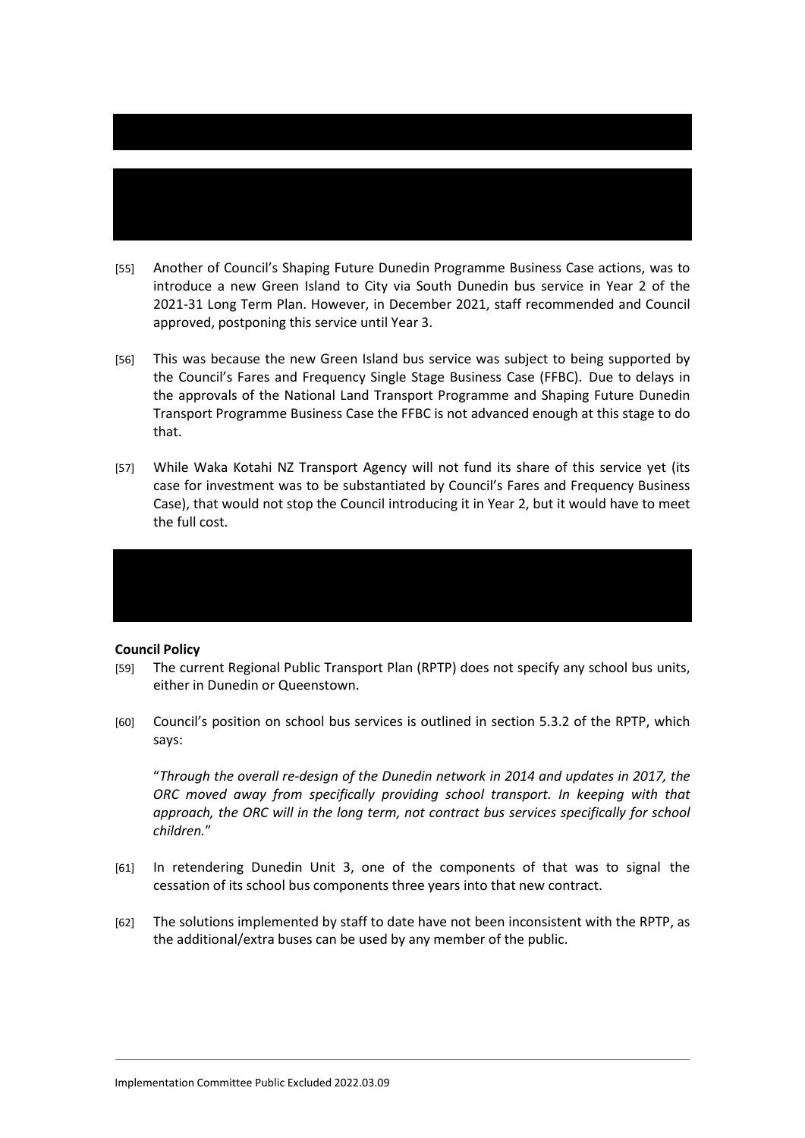those as will happen for Mosgiel.

- [55] Another of Council's Shaping Future Dunedin Programme Business Case actions, was to introduce a new Green Island to City via South Dunedin bus service in Year 2 of the 2021-31 Long Term Plan. However, in December 2021, staff recommended and Council approved, postponing this service until Year 3.
- [56] This was because the new Green Island bus service was subject to being supported by the Council's Fares and Frequency Single Stage Business Case (FFBC). Due to delays in the approvals of the National Land Transport Programme and Shaping Future Dunedin Transport Programme Business Case the FFBC is not advanced enough at this stage to do that.
- [57] While Waka Kotahi NZ Transport Agency will not fund its share of this service yet (its case for investment was to be substantiated by Council's Fares and Frequency Business Case), that would not stop the Council introducing it in Year 2, but it would have to meet the full cost.

### **Council Policy**

- [59] The current Regional Public Transport Plan (RPTP) does not specify any school bus units, either in Dunedin or Queenstown.
- [60] Council's position on school bus services is outlined in section 5.3.2 of the RPTP, which says:

"*Through the overall re-design of the Dunedin network in 2014 and updates in 2017, the ORC moved away from specifically providing school transport. In keeping with that approach, the ORC will in the long term, not contract bus services specifically for school children.*"

- [61] In retendering Dunedin Unit 3, one of the components of that was to signal the cessation of its school bus components three years into that new contract.
- [62] The solutions implemented by staff to date have not been inconsistent with the RPTP, as the additional/extra buses can be used by any member of the public.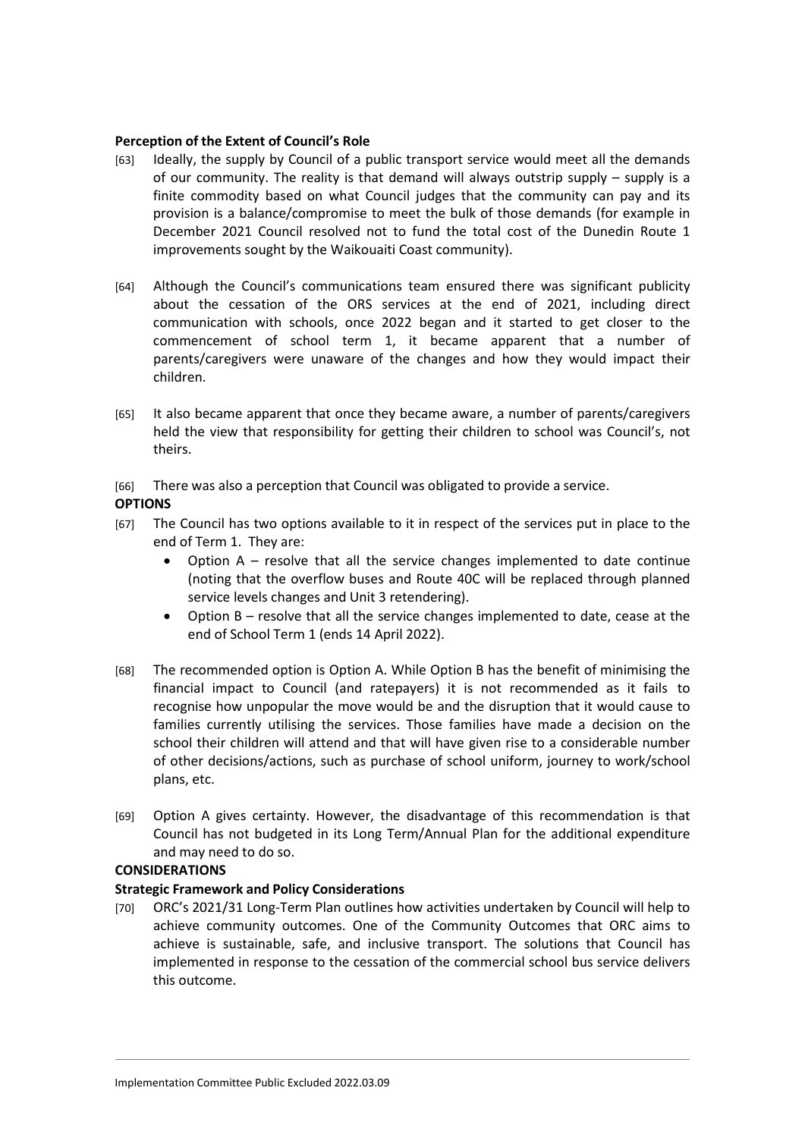### **Perception of the Extent of Council's Role**

- [63] Ideally, the supply by Council of a public transport service would meet all the demands of our community. The reality is that demand will always outstrip supply – supply is a finite commodity based on what Council judges that the community can pay and its provision is a balance/compromise to meet the bulk of those demands (for example in December 2021 Council resolved not to fund the total cost of the Dunedin Route 1 improvements sought by the Waikouaiti Coast community).
- [64] Although the Council's communications team ensured there was significant publicity about the cessation of the ORS services at the end of 2021, including direct communication with schools, once 2022 began and it started to get closer to the commencement of school term 1, it became apparent that a number of parents/caregivers were unaware of the changes and how they would impact their children.
- [65] It also became apparent that once they became aware, a number of parents/caregivers held the view that responsibility for getting their children to school was Council's, not theirs.
- [66] There was also a perception that Council was obligated to provide a service.

### **OPTIONS**

- [67] The Council has two options available to it in respect of the services put in place to the end of Term 1. They are:
	- Option A resolve that all the service changes implemented to date continue (noting that the overflow buses and Route 40C will be replaced through planned service levels changes and Unit 3 retendering).
	- Option B resolve that all the service changes implemented to date, cease at the end of School Term 1 (ends 14 April 2022).
- [68] The recommended option is Option A. While Option B has the benefit of minimising the financial impact to Council (and ratepayers) it is not recommended as it fails to recognise how unpopular the move would be and the disruption that it would cause to families currently utilising the services. Those families have made a decision on the school their children will attend and that will have given rise to a considerable number of other decisions/actions, such as purchase of school uniform, journey to work/school plans, etc.
- [69] Option A gives certainty. However, the disadvantage of this recommendation is that Council has not budgeted in its Long Term/Annual Plan for the additional expenditure and may need to do so.

### **CONSIDERATIONS**

# **Strategic Framework and Policy Considerations**

[70] ORC's 2021/31 Long-Term Plan outlines how activities undertaken by Council will help to achieve community outcomes. One of the Community Outcomes that ORC aims to achieve is sustainable, safe, and inclusive transport. The solutions that Council has implemented in response to the cessation of the commercial school bus service delivers this outcome.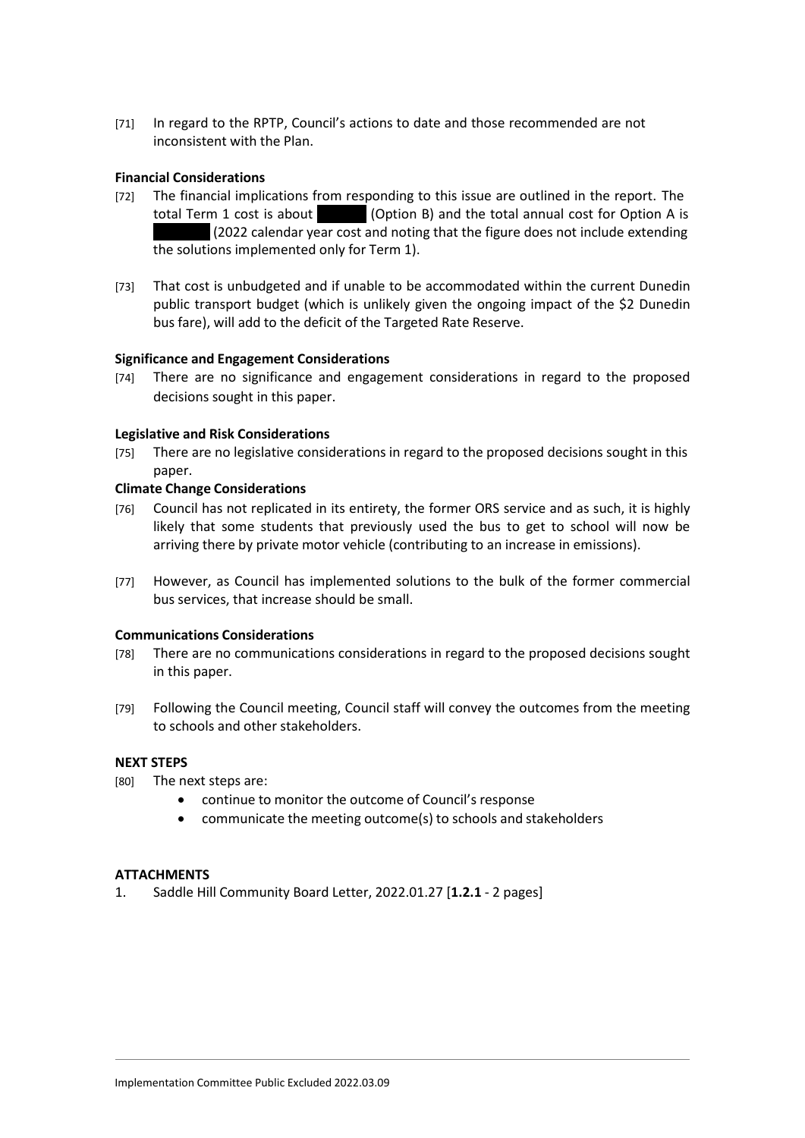[71] In regard to the RPTP, Council's actions to date and those recommended are not inconsistent with the Plan.

# **Financial Considerations**

- [72] The financial implications from responding to this issue are outlined in the report. The total Term 1 cost is about (Option B) and the total annual cost for Option A is  $(2022$  calendar year cost and noting that the figure does not include extending the solutions implemented only for Term 1).
- [73] That cost is unbudgeted and if unable to be accommodated within the current Dunedin public transport budget (which is unlikely given the ongoing impact of the \$2 Dunedin bus fare), will add to the deficit of the Targeted Rate Reserve.

### **Significance and Engagement Considerations**

[74] There are no significance and engagement considerations in regard to the proposed decisions sought in this paper.

### **Legislative and Risk Considerations**

[75] There are no legislative considerations in regard to the proposed decisions sought in this paper.

#### **Climate Change Considerations**

- [76] Council has not replicated in its entirety, the former ORS service and as such, it is highly likely that some students that previously used the bus to get to school will now be arriving there by private motor vehicle (contributing to an increase in emissions).
- [77] However, as Council has implemented solutions to the bulk of the former commercial bus services, that increase should be small.

### **Communications Considerations**

- [78] There are no communications considerations in regard to the proposed decisions sought in this paper.
- [79] Following the Council meeting, Council staff will convey the outcomes from the meeting to schools and other stakeholders.

### **NEXT STEPS**

- [80] The next steps are:
	- continue to monitor the outcome of Council's response
	- communicate the meeting outcome(s) to schools and stakeholders

### **ATTACHMENTS**

1. Saddle Hill Community Board Letter, 2022.01.27 [**1.2.1** - 2 pages]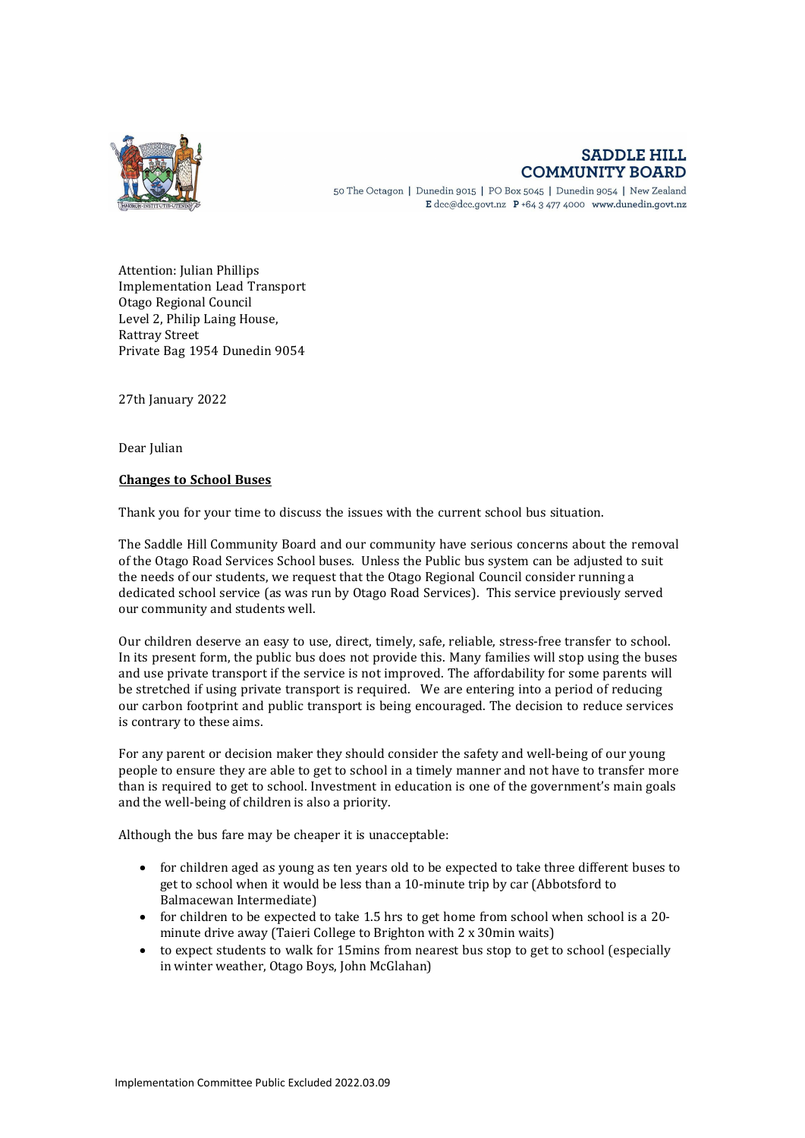

# **SADDLE HILL COMMUNITY BOARD**

50 The Octagon | Dunedin 9015 | PO Box 5045 | Dunedin 9054 | New Zealand E dcc@dcc.govt.nz  $P$  +64 3 477 4000 www.dunedin.govt.nz

Attention: Julian Phillips Implementation Lead Transport Otago Regional Council Level 2, Philip Laing House, Rattray Street Private Bag 1954 Dunedin 9054

27th January 2022

Dear Julian

#### **Changes to School Buses**

Thank you for your time to discuss the issues with the current school bus situation.

The Saddle Hill Community Board and our community have serious concerns about the removal of the Otago Road Services School buses. Unless the Public bus system can be adjusted to suit the needs of our students, we request that the Otago Regional Council consider running a dedicated school service (as was run by Otago Road Services). This service previously served our community and students well.

Our children deserve an easy to use, direct, timely, safe, reliable, stress-free transfer to school. In its present form, the public bus does not provide this. Many families will stop using the buses and use private transport if the service is not improved. The affordability for some parents will be stretched if using private transport is required. We are entering into a period of reducing our carbon footprint and public transport is being encouraged. The decision to reduce services is contrary to these aims.

For any parent or decision maker they should consider the safety and well-being of our young people to ensure they are able to get to school in a timely manner and not have to transfer more than is required to get to school. Investment in education is one of the government's main goals and the well-being of children is also a priority.

Although the bus fare may be cheaper it is unacceptable:

- for children aged as young as ten years old to be expected to take three different buses to get to school when it would be less than a 10-minute trip by car (Abbotsford to Balmacewan Intermediate)
- for children to be expected to take 1.5 hrs to get home from school when school is a 20 minute drive away (Taieri College to Brighton with 2 x 30min waits)
- to expect students to walk for 15mins from nearest bus stop to get to school (especially in winter weather, Otago Boys, John McGlahan)